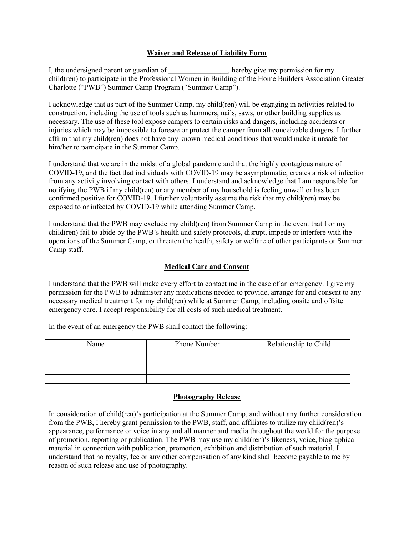## **Waiver and Release of Liability Form**

I, the undersigned parent or guardian of  $\blacksquare$ , hereby give my permission for my child(ren) to participate in the Professional Women in Building of the Home Builders Association Greater Charlotte ("PWB") Summer Camp Program ("Summer Camp").

I acknowledge that as part of the Summer Camp, my child(ren) will be engaging in activities related to construction, including the use of tools such as hammers, nails, saws, or other building supplies as necessary. The use of these tool expose campers to certain risks and dangers, including accidents or injuries which may be impossible to foresee or protect the camper from all conceivable dangers. I further affirm that my child(ren) does not have any known medical conditions that would make it unsafe for him/her to participate in the Summer Camp.

I understand that we are in the midst of a global pandemic and that the highly contagious nature of COVID-19, and the fact that individuals with COVID-19 may be asymptomatic, creates a risk of infection from any activity involving contact with others. I understand and acknowledge that I am responsible for notifying the PWB if my child(ren) or any member of my household is feeling unwell or has been confirmed positive for COVID-19. I further voluntarily assume the risk that my child(ren) may be exposed to or infected by COVID-19 while attending Summer Camp.

I understand that the PWB may exclude my child(ren) from Summer Camp in the event that I or my child(ren) fail to abide by the PWB's health and safety protocols, disrupt, impede or interfere with the operations of the Summer Camp, or threaten the health, safety or welfare of other participants or Summer Camp staff.

## **Medical Care and Consent**

I understand that the PWB will make every effort to contact me in the case of an emergency. I give my permission for the PWB to administer any medications needed to provide, arrange for and consent to any necessary medical treatment for my child(ren) while at Summer Camp, including onsite and offsite emergency care. I accept responsibility for all costs of such medical treatment.

In the event of an emergency the PWB shall contact the following:

| Name | Phone Number | Relationship to Child |
|------|--------------|-----------------------|
|      |              |                       |
|      |              |                       |
|      |              |                       |
|      |              |                       |

## **Photography Release**

In consideration of child(ren)'s participation at the Summer Camp, and without any further consideration from the PWB, I hereby grant permission to the PWB, staff, and affiliates to utilize my child(ren)'s appearance, performance or voice in any and all manner and media throughout the world for the purpose of promotion, reporting or publication. The PWB may use my child(ren)'s likeness, voice, biographical material in connection with publication, promotion, exhibition and distribution of such material. I understand that no royalty, fee or any other compensation of any kind shall become payable to me by reason of such release and use of photography.